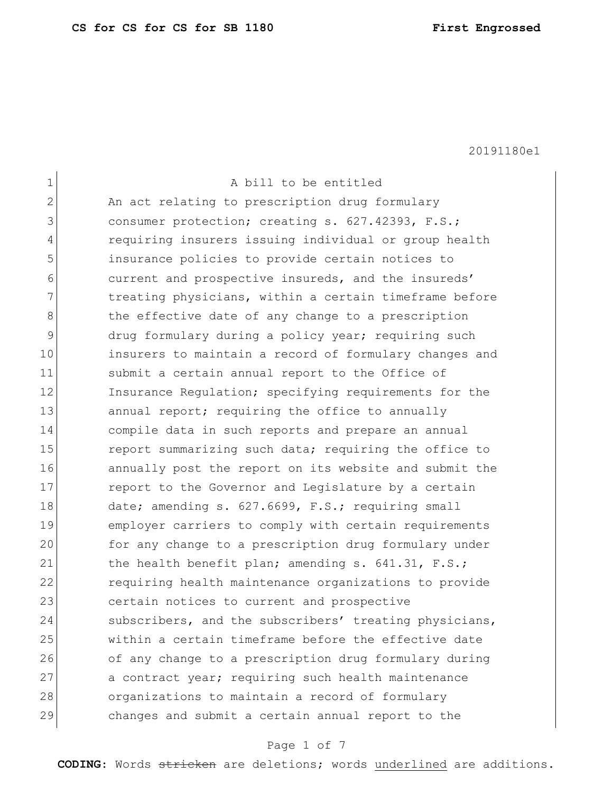$\mathbf{r}$ 

20191180e1

| $\mathbf 1$  | A bill to be entitled                                  |
|--------------|--------------------------------------------------------|
| $\mathbf{2}$ | An act relating to prescription drug formulary         |
| 3            | consumer protection; creating s. 627.42393, F.S.;      |
| 4            | requiring insurers issuing individual or group health  |
| 5            | insurance policies to provide certain notices to       |
| 6            | current and prospective insureds, and the insureds'    |
| 7            | treating physicians, within a certain timeframe before |
| 8            | the effective date of any change to a prescription     |
| 9            | drug formulary during a policy year; requiring such    |
| 10           | insurers to maintain a record of formulary changes and |
| 11           | submit a certain annual report to the Office of        |
| 12           | Insurance Regulation; specifying requirements for the  |
| 13           | annual report; requiring the office to annually        |
| 14           | compile data in such reports and prepare an annual     |
| 15           | report summarizing such data; requiring the office to  |
| 16           | annually post the report on its website and submit the |
| 17           | report to the Governor and Legislature by a certain    |
| 18           | date; amending s. 627.6699, F.S.; requiring small      |
| 19           | employer carriers to comply with certain requirements  |
| 20           | for any change to a prescription drug formulary under  |
| 21           | the health benefit plan; amending s. 641.31, F.S.;     |
| 22           | requiring health maintenance organizations to provide  |
| 23           | certain notices to current and prospective             |
| 24           | subscribers, and the subscribers' treating physicians, |
| 25           | within a certain timeframe before the effective date   |
| 26           | of any change to a prescription drug formulary during  |
| 27           | a contract year; requiring such health maintenance     |
| 28           | organizations to maintain a record of formulary        |
| 29           | changes and submit a certain annual report to the      |

# Page 1 of 7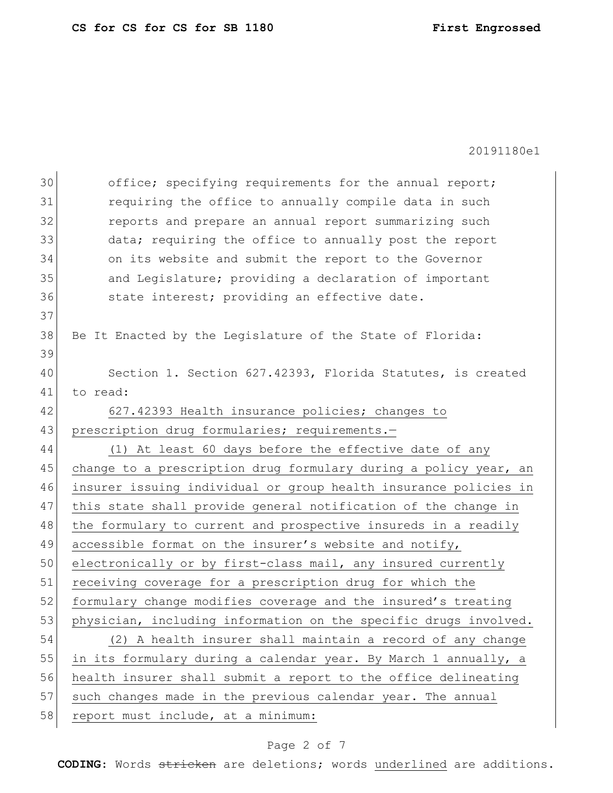| 30 | office; specifying requirements for the annual report;           |
|----|------------------------------------------------------------------|
| 31 | requiring the office to annually compile data in such            |
| 32 | reports and prepare an annual report summarizing such            |
| 33 | data; requiring the office to annually post the report           |
| 34 | on its website and submit the report to the Governor             |
| 35 | and Legislature; providing a declaration of important            |
| 36 | state interest; providing an effective date.                     |
| 37 |                                                                  |
| 38 | Be It Enacted by the Legislature of the State of Florida:        |
| 39 |                                                                  |
| 40 | Section 1. Section 627.42393, Florida Statutes, is created       |
| 41 | to read:                                                         |
| 42 | 627.42393 Health insurance policies; changes to                  |
| 43 | prescription drug formularies; requirements.-                    |
| 44 | (1) At least 60 days before the effective date of any            |
| 45 | change to a prescription drug formulary during a policy year, an |
| 46 | insurer issuing individual or group health insurance policies in |
| 47 | this state shall provide general notification of the change in   |
| 48 | the formulary to current and prospective insureds in a readily   |
| 49 | accessible format on the insurer's website and notify,           |
| 50 | electronically or by first-class mail, any insured currently     |
| 51 | receiving coverage for a prescription drug for which the         |
| 52 | formulary change modifies coverage and the insured's treating    |
| 53 | physician, including information on the specific drugs involved. |
| 54 | (2) A health insurer shall maintain a record of any change       |
| 55 | in its formulary during a calendar year. By March 1 annually, a  |
| 56 | health insurer shall submit a report to the office delineating   |
| 57 | such changes made in the previous calendar year. The annual      |
| 58 | report must include, at a minimum:                               |

# Page 2 of 7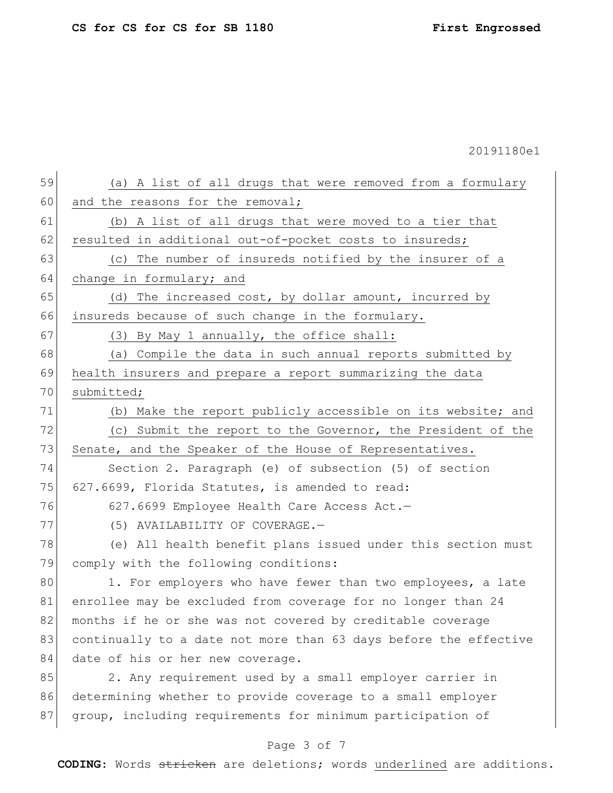| 59 | (a) A list of all drugs that were removed from a formulary       |
|----|------------------------------------------------------------------|
| 60 | and the reasons for the removal;                                 |
| 61 | (b) A list of all drugs that were moved to a tier that           |
| 62 | resulted in additional out-of-pocket costs to insureds;          |
| 63 | (c) The number of insureds notified by the insurer of a          |
| 64 | change in formulary; and                                         |
| 65 | (d) The increased cost, by dollar amount, incurred by            |
| 66 | insureds because of such change in the formulary.                |
| 67 | (3) By May 1 annually, the office shall:                         |
| 68 | (a) Compile the data in such annual reports submitted by         |
| 69 | health insurers and prepare a report summarizing the data        |
| 70 | submitted;                                                       |
| 71 | (b) Make the report publicly accessible on its website; and      |
| 72 | (c) Submit the report to the Governor, the President of the      |
| 73 | Senate, and the Speaker of the House of Representatives.         |
| 74 | Section 2. Paragraph (e) of subsection (5) of section            |
| 75 | 627.6699, Florida Statutes, is amended to read:                  |
| 76 | 627.6699 Employee Health Care Access Act.-                       |
| 77 | (5) AVAILABILITY OF COVERAGE.-                                   |
| 78 | (e) All health benefit plans issued under this section must      |
| 79 | comply with the following conditions:                            |
| 80 | 1. For employers who have fewer than two employees, a late       |
| 81 | enrollee may be excluded from coverage for no longer than 24     |
| 82 | months if he or she was not covered by creditable coverage       |
| 83 | continually to a date not more than 63 days before the effective |
| 84 | date of his or her new coverage.                                 |
| 85 | 2. Any requirement used by a small employer carrier in           |
| 86 | determining whether to provide coverage to a small employer      |
| 87 | group, including requirements for minimum participation of       |
|    |                                                                  |

# Page 3 of 7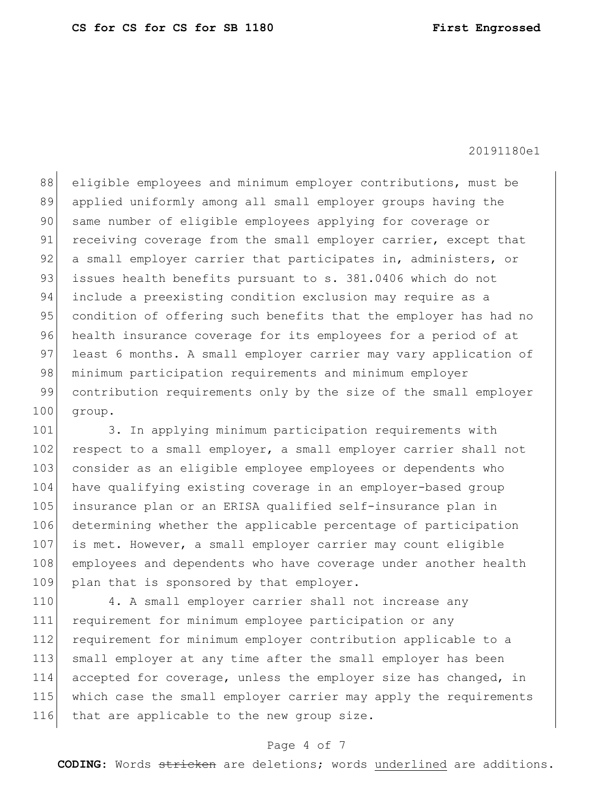88 eligible employees and minimum employer contributions, must be 89 applied uniformly among all small employer groups having the 90 same number of eligible employees applying for coverage or 91 receiving coverage from the small employer carrier, except that 92 a small employer carrier that participates in, administers, or 93 issues health benefits pursuant to s. 381.0406 which do not 94 include a preexisting condition exclusion may require as a 95 condition of offering such benefits that the employer has had no 96 health insurance coverage for its employees for a period of at 97 least 6 months. A small employer carrier may vary application of 98 minimum participation requirements and minimum employer 99 contribution requirements only by the size of the small employer 100 group.

101 3. In applying minimum participation requirements with 102 respect to a small employer, a small employer carrier shall not 103 consider as an eligible employee employees or dependents who 104 have qualifying existing coverage in an employer-based group 105 insurance plan or an ERISA qualified self-insurance plan in 106 determining whether the applicable percentage of participation 107 is met. However, a small employer carrier may count eligible 108 employees and dependents who have coverage under another health 109 plan that is sponsored by that employer.

110 4. A small employer carrier shall not increase any 111 requirement for minimum employee participation or any 112 requirement for minimum employer contribution applicable to a 113 small employer at any time after the small employer has been 114 accepted for coverage, unless the employer size has changed, in 115 which case the small employer carrier may apply the requirements 116 that are applicable to the new group size.

### Page 4 of 7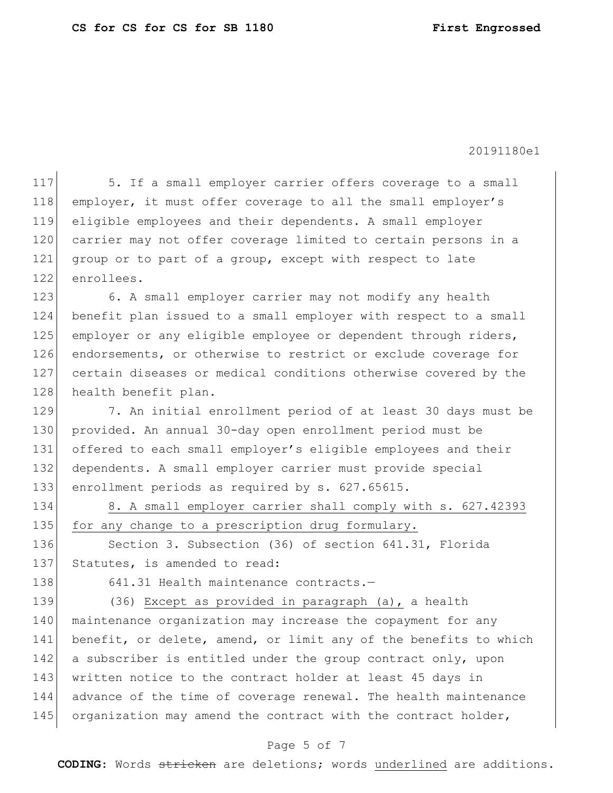117 5. If a small employer carrier offers coverage to a small 118 employer, it must offer coverage to all the small employer's 119 eligible employees and their dependents. A small employer 120 carrier may not offer coverage limited to certain persons in a 121 group or to part of a group, except with respect to late 122 enrollees. 123 6. A small employer carrier may not modify any health 124 benefit plan issued to a small employer with respect to a small 125 employer or any eligible employee or dependent through riders, 126 endorsements, or otherwise to restrict or exclude coverage for 127 certain diseases or medical conditions otherwise covered by the 128 health benefit plan. 129 7. An initial enrollment period of at least 30 days must be 130 provided. An annual 30-day open enrollment period must be 131 offered to each small employer's eligible employees and their 132 dependents. A small employer carrier must provide special 133 enrollment periods as required by s. 627.65615. 134 8. A small employer carrier shall comply with s. 627.42393 135 for any change to a prescription drug formulary. 136 Section 3. Subsection (36) of section 641.31, Florida 137 Statutes, is amended to read: 138 641.31 Health maintenance contracts.-139 (36) Except as provided in paragraph (a), a health 140 maintenance organization may increase the copayment for any 141 benefit, or delete, amend, or limit any of the benefits to which 142 a subscriber is entitled under the group contract only, upon 143 written notice to the contract holder at least 45 days in 144 advance of the time of coverage renewal. The health maintenance 145 organization may amend the contract with the contract holder,

## Page 5 of 7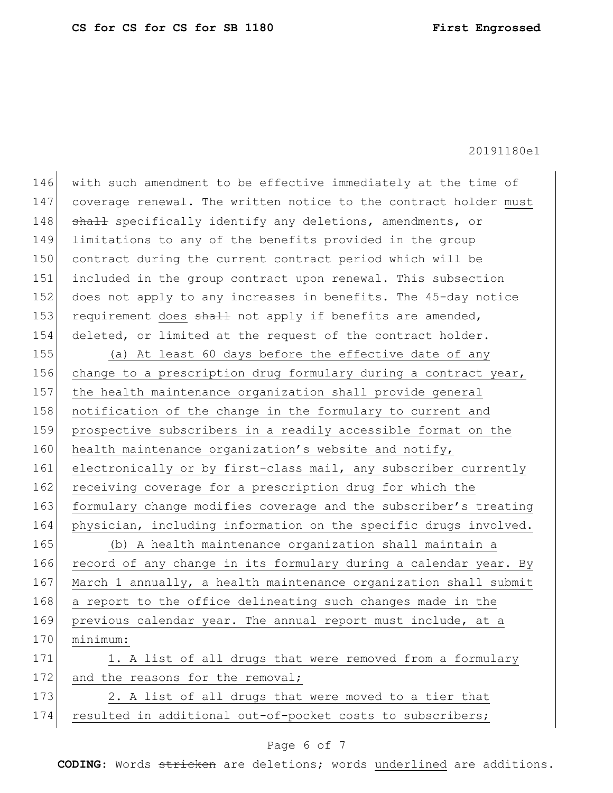| 146 | with such amendment to be effective immediately at the time of   |
|-----|------------------------------------------------------------------|
| 147 | coverage renewal. The written notice to the contract holder must |
| 148 | shall specifically identify any deletions, amendments, or        |
| 149 | limitations to any of the benefits provided in the group         |
| 150 | contract during the current contract period which will be        |
| 151 | included in the group contract upon renewal. This subsection     |
| 152 | does not apply to any increases in benefits. The 45-day notice   |
| 153 | requirement does shall not apply if benefits are amended,        |
| 154 | deleted, or limited at the request of the contract holder.       |
| 155 | (a) At least 60 days before the effective date of any            |
| 156 | change to a prescription drug formulary during a contract year,  |
| 157 | the health maintenance organization shall provide general        |
| 158 | notification of the change in the formulary to current and       |
| 159 | prospective subscribers in a readily accessible format on the    |
| 160 | health maintenance organization's website and notify,            |
| 161 | electronically or by first-class mail, any subscriber currently  |
| 162 | receiving coverage for a prescription drug for which the         |
| 163 | formulary change modifies coverage and the subscriber's treating |
| 164 | physician, including information on the specific drugs involved. |
| 165 | (b) A health maintenance organization shall maintain a           |
| 166 | record of any change in its formulary during a calendar year. By |
| 167 | March 1 annually, a health maintenance organization shall submit |
| 168 | a report to the office delineating such changes made in the      |
| 169 | previous calendar year. The annual report must include, at a     |
| 170 | minimum:                                                         |
| 171 | 1. A list of all drugs that were removed from a formulary        |
| 172 | and the reasons for the removal;                                 |
| 173 | 2. A list of all drugs that were moved to a tier that            |
| 174 | resulted in additional out-of-pocket costs to subscribers;       |
|     |                                                                  |

# Page 6 of 7